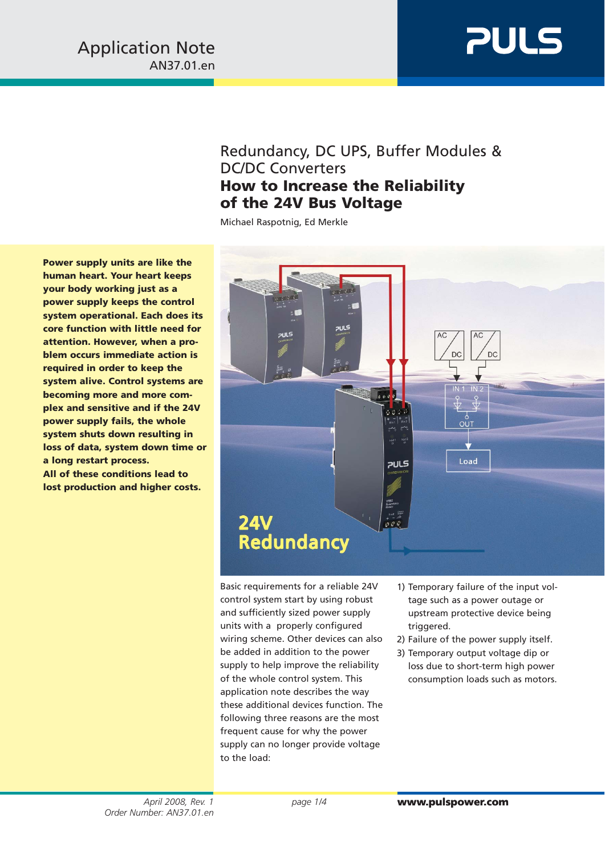# **PULS**

### Redundancy, DC UPS, Buffer Modules & DC/DC Converters **How to Increase the Reliability of the 24V Bus Voltage**

Michael Raspotnig, Ed Merkle

**Power supply units are like the human heart. Your heart keeps your body working just as a power supply keeps the control system operational. Each does its core function with little need for attention. However, when a problem occurs immediate action is required in order to keep the system alive. Control systems are becoming more and more complex and sensitive and if the 24V power supply fails, the whole system shuts down resulting in loss of data, system down time or a long restart process. All of these conditions lead to lost production and higher costs.**



Basic requirements for a reliable 24V control system start by using robust and sufficiently sized power supply units with a properly configured wiring scheme. Other devices can also be added in addition to the power supply to help improve the reliability of the whole control system. This application note describes the way these additional devices function. The following three reasons are the most frequent cause for why the power supply can no longer provide voltage to the load:

- 1) Temporary failure of the input voltage such as a power outage or upstream protective device being triggered.
- 2) Failure of the power supply itself.
- 3) Temporary output voltage dip or loss due to short-term high power consumption loads such as motors.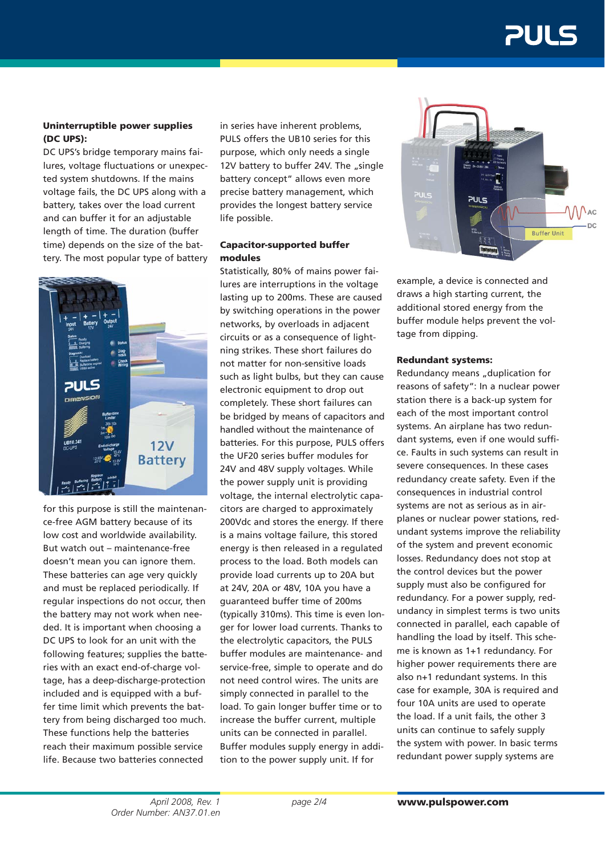### 21 JI 5

#### **Uninterruptible power supplies (DC UPS):**

DC UPS's bridge temporary mains failures, voltage fluctuations or unexpected system shutdowns. If the mains voltage fails, the DC UPS along with a battery, takes over the load current and can buffer it for an adjustable length of time. The duration (buffer time) depends on the size of the battery. The most popular type of battery



for this purpose is still the maintenance-free AGM battery because of its low cost and worldwide availability. But watch out – maintenance-free doesn't mean you can ignore them. These batteries can age very quickly and must be replaced periodically. If regular inspections do not occur, then the battery may not work when needed. It is important when choosing a DC UPS to look for an unit with the following features; supplies the batteries with an exact end-of-charge voltage, has a deep-discharge-protection included and is equipped with a buffer time limit which prevents the battery from being discharged too much. These functions help the batteries reach their maximum possible service life. Because two batteries connected

in series have inherent problems, PULS offers the UB10 series for this purpose, which only needs a single 12V battery to buffer 24V. The "single battery concept" allows even more precise battery management, which provides the longest battery service life possible.

#### **Capacitor-supported buffer modules**

Statistically, 80% of mains power failures are interruptions in the voltage lasting up to 200ms. These are caused by switching operations in the power networks, by overloads in adjacent circuits or as a consequence of lightning strikes. These short failures do not matter for non-sensitive loads such as light bulbs, but they can cause electronic equipment to drop out completely. These short failures can be bridged by means of capacitors and handled without the maintenance of batteries. For this purpose, PULS offers the UF20 series buffer modules for 24V and 48V supply voltages. While the power supply unit is providing voltage, the internal electrolytic capacitors are charged to approximately 200Vdc and stores the energy. If there is a mains voltage failure, this stored energy is then released in a regulated process to the load. Both models can provide load currents up to 20A but at 24V, 20A or 48V, 10A you have a guaranteed buffer time of 200ms (typically 310ms). This time is even longer for lower load currents. Thanks to the electrolytic capacitors, the PULS buffer modules are maintenance- and service-free, simple to operate and do not need control wires. The units are simply connected in parallel to the load. To gain longer buffer time or to increase the buffer current, multiple units can be connected in parallel. Buffer modules supply energy in addition to the power supply unit. If for



example, a device is connected and draws a high starting current, the additional stored energy from the buffer module helps prevent the voltage from dipping.

#### **Redundant systems:**

Redundancy means "duplication for reasons of safety": In a nuclear power station there is a back-up system for each of the most important control systems. An airplane has two redundant systems, even if one would suffice. Faults in such systems can result in severe consequences. In these cases redundancy create safety. Even if the consequences in industrial control systems are not as serious as in airplanes or nuclear power stations, redundant systems improve the reliability of the system and prevent economic losses. Redundancy does not stop at the control devices but the power supply must also be configured for redundancy. For a power supply, redundancy in simplest terms is two units connected in parallel, each capable of handling the load by itself. This scheme is known as 1+1 redundancy. For higher power requirements there are also n+1 redundant systems. In this case for example, 30A is required and four 10A units are used to operate the load. If a unit fails, the other 3 units can continue to safely supply the system with power. In basic terms redundant power supply systems are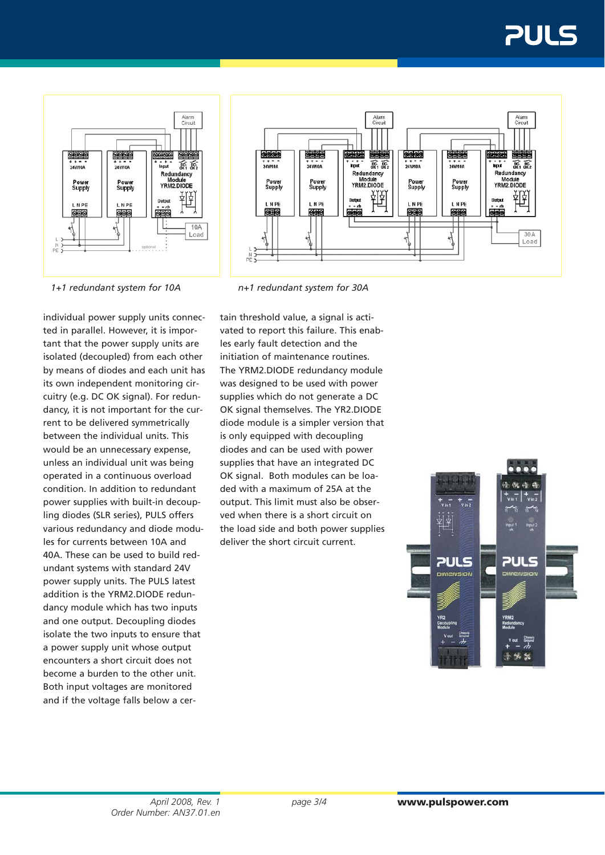## 21 J.I





*1+1 redundant system for 10A n+1 redundant system for 30A*

individual power supply units connected in parallel. However, it is important that the power supply units are isolated (decoupled) from each other by means of diodes and each unit has its own independent monitoring circuitry (e.g. DC OK signal). For redundancy, it is not important for the current to be delivered symmetrically between the individual units. This would be an unnecessary expense, unless an individual unit was being operated in a continuous overload condition. In addition to redundant power supplies with built-in decoupling diodes (SLR series), PULS offers various redundancy and diode modules for currents between 10A and 40A. These can be used to build redundant systems with standard 24V power supply units. The PULS latest addition is the YRM2.DIODE redundancy module which has two inputs and one output. Decoupling diodes isolate the two inputs to ensure that a power supply unit whose output encounters a short circuit does not become a burden to the other unit. Both input voltages are monitored and if the voltage falls below a cer-

tain threshold value, a signal is activated to report this failure. This enables early fault detection and the initiation of maintenance routines. The YRM2.DIODE redundancy module was designed to be used with power supplies which do not generate a DC OK signal themselves. The YR2.DIODE diode module is a simpler version that is only equipped with decoupling diodes and can be used with power supplies that have an integrated DC OK signal. Both modules can be loaded with a maximum of 25A at the output. This limit must also be observed when there is a short circuit on the load side and both power supplies deliver the short circuit current.